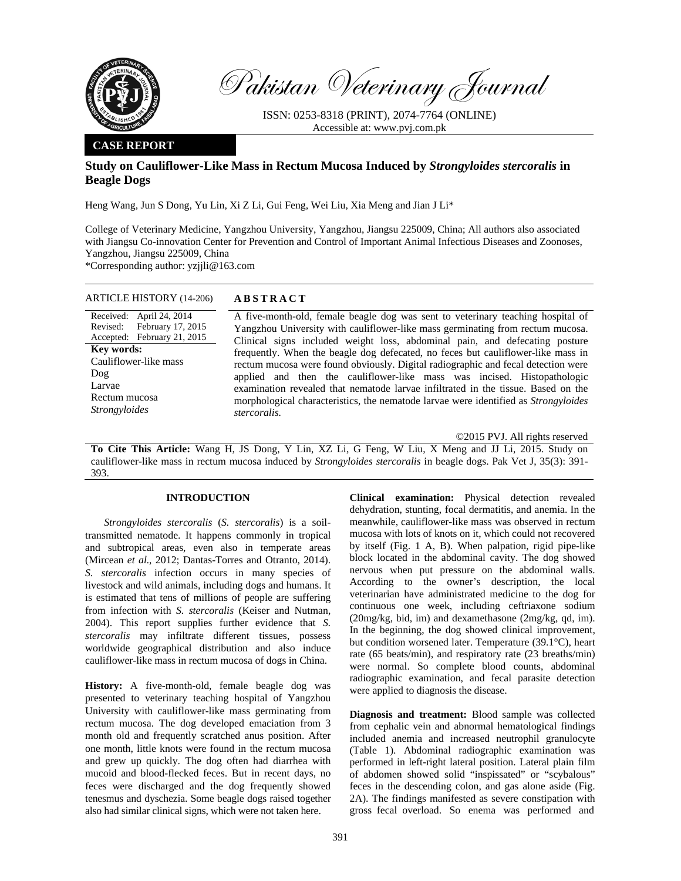

Pakistan Veterinary Journal

ISSN: 0253-8318 (PRINT), 2074-7764 (ONLINE) Accessible at: www.pvj.com.pk

# **CASE REPORT**

# **Study on Cauliflower-Like Mass in Rectum Mucosa Induced by** *Strongyloides stercoralis* **in Beagle Dogs**

Heng Wang, Jun S Dong, Yu Lin, Xi Z Li, Gui Feng, Wei Liu, Xia Meng and Jian J Li\*

College of Veterinary Medicine, Yangzhou University, Yangzhou, Jiangsu 225009, China; All authors also associated with Jiangsu Co-innovation Center for Prevention and Control of Important Animal Infectious Diseases and Zoonoses, Yangzhou, Jiangsu 225009, China

\*Corresponding author: yzjjli@163.com

## ARTICLE HISTORY (14-206) **ABSTRACT**

Received: April 24, 2014 Revised: Accepted: February 17, 2015 February 21, 2015 **Key words:**  Cauliflower-like mass Dog Larvae Rectum mucosa *Strongyloides*

 A five-month-old, female beagle dog was sent to veterinary teaching hospital of Yangzhou University with cauliflower-like mass germinating from rectum mucosa. Clinical signs included weight loss, abdominal pain, and defecating posture frequently. When the beagle dog defecated, no feces but cauliflower-like mass in rectum mucosa were found obviously. Digital radiographic and fecal detection were applied and then the cauliflower-like mass was incised. Histopathologic examination revealed that nematode larvae infiltrated in the tissue. Based on the morphological characteristics, the nematode larvae were identified as *Strongyloides stercoralis.*

©2015 PVJ. All rights reserved

**To Cite This Article:** Wang H, JS Dong, Y Lin, XZ Li, G Feng, W Liu, X Meng and JJ Li, 2015. Study on cauliflower-like mass in rectum mucosa induced by *Strongyloides stercoralis* in beagle dogs. Pak Vet J, 35(3): 391- 393.

## **INTRODUCTION**

*Strongyloides stercoralis* (*S. stercoralis*) is a soiltransmitted nematode. It happens commonly in tropical and subtropical areas, even also in temperate areas (Mircean *et al.*, 2012; Dantas-Torres and Otranto, 2014). *S. stercoralis* infection occurs in many species of livestock and wild animals, including dogs and humans. It is estimated that tens of millions of people are suffering from infection with *S. stercoralis* (Keiser and Nutman, 2004). This report supplies further evidence that *S. stercoralis* may infiltrate different tissues, possess worldwide geographical distribution and also induce cauliflower-like mass in rectum mucosa of dogs in China.

**History:** A five-month-old, female beagle dog was presented to veterinary teaching hospital of Yangzhou University with cauliflower-like mass germinating from rectum mucosa. The dog developed emaciation from 3 month old and frequently scratched anus position. After one month, little knots were found in the rectum mucosa and grew up quickly. The dog often had diarrhea with mucoid and blood-flecked feces. But in recent days, no feces were discharged and the dog frequently showed tenesmus and dyschezia. Some beagle dogs raised together also had similar clinical signs, which were not taken here.

**Clinical examination:** Physical detection revealed dehydration, stunting, focal dermatitis, and anemia. In the meanwhile, cauliflower-like mass was observed in rectum mucosa with lots of knots on it, which could not recovered by itself (Fig. 1 A, B). When palpation, rigid pipe-like block located in the abdominal cavity. The dog showed nervous when put pressure on the abdominal walls. According to the owner's description, the local veterinarian have administrated medicine to the dog for continuous one week, including ceftriaxone sodium (20mg/kg, bid, im) and dexamethasone (2mg/kg, qd, im). In the beginning, the dog showed clinical improvement, but condition worsened later. Temperature (39.1°C), heart rate (65 beats/min), and respiratory rate (23 breaths/min) were normal. So complete blood counts, abdominal radiographic examination, and fecal parasite detection were applied to diagnosis the disease.

**Diagnosis and treatment:** Blood sample was collected from cephalic vein and abnormal hematological findings included anemia and increased neutrophil granulocyte (Table 1). Abdominal radiographic examination was performed in left-right lateral position. Lateral plain film of abdomen showed solid "inspissated" or "scybalous" feces in the descending colon, and gas alone aside (Fig. 2A). The findings manifested as severe constipation with gross fecal overload. So enema was performed and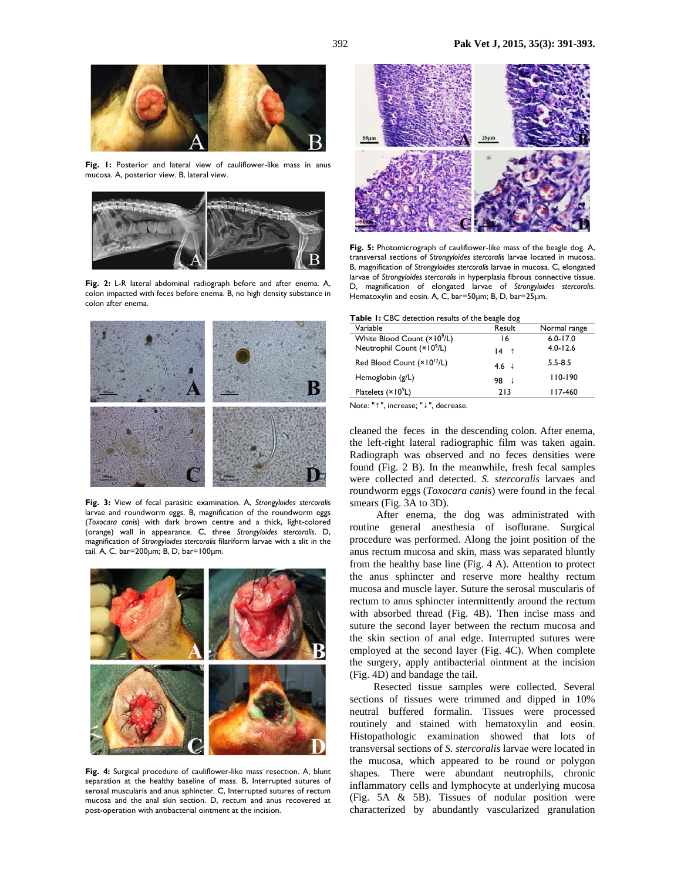

Fig. 1: Posterior and lateral view of cauliflower-like mass in anus mucosa. A, posterior view. B, lateral view.



**Fig. 2:** L-R lateral abdominal radiograph before and after enema. A, colon impacted with feces before enema. B, no high density substance in colon after enema.



**Fig. 3:** View of fecal parasitic examination. A, *Strongyloides stercoralis* larvae and roundworm eggs. B, magnification of the roundworm eggs (*Toxocara canis*) with dark brown centre and a thick, light-colored (orange) wall in appearance. C, three *Strongyloides stercoralis*. D, magnification of *Strongyloides stercoralis* filariform larvae with a slit in the tail. A, C, bar=200µm; B, D, bar=100µm.



**Fig. 4:** Surgical procedure of cauliflower-like mass resection. A, blunt separation at the healthy baseline of mass. B, Interrupted sutures of serosal muscularis and anus sphincter. C, Interrupted sutures of rectum mucosa and the anal skin section. D, rectum and anus recovered at post-operation with antibacterial ointment at the incision.



**Fig. 5:** Photomicrograph of cauliflower-like mass of the beagle dog. A, transversal sections of *Strongyloides stercoralis* larvae located in mucosa. B, magnification of *Strongyloides stercoralis* larvae in mucosa. C, elongated larvae of *Strongyloides stercoralis* in hyperplasia fibrous connective tissue. D, magnification of elongated larvae of *Strongyloides stercoralis*. Hematoxylin and eosin. A, C, bar=50µm; B, D, bar=25µm.

|  |  |  | Table 1: CBC detection results of the beagle dog |  |  |  |  |  |
|--|--|--|--------------------------------------------------|--|--|--|--|--|
|--|--|--|--------------------------------------------------|--|--|--|--|--|

| Variable                                | Result           | Normal range |
|-----------------------------------------|------------------|--------------|
| White Blood Count (×10 <sup>9</sup> /L) | 16               | $6.0 - 17.0$ |
| Neutrophil Count (×10 <sup>9</sup> /L)  | $14$ 1           | $4.0 - 12.6$ |
| Red Blood Count (× 10 <sup>12</sup> /L) | $4.6 \downarrow$ | $5.5 - 8.5$  |
| Hemoglobin (g/L)                        | 98<br>- ↓        | $110 - 190$  |
| Platelets $(x   09L)$                   | 213              | 117-460      |

Note: "↑", increase; "↓", decrease.

cleaned the feces in the descending colon. After enema, the left-right lateral radiographic film was taken again. Radiograph was observed and no feces densities were found (Fig. 2 B). In the meanwhile, fresh fecal samples were collected and detected. *S. stercoralis* larvaes and roundworm eggs (*Toxocara canis*) were found in the fecal smears (Fig. 3A to 3D).

 After enema, the dog was administrated with routine general anesthesia of isoflurane. Surgical procedure was performed. Along the joint position of the anus rectum mucosa and skin, mass was separated bluntly from the healthy base line (Fig. 4 A). Attention to protect the anus sphincter and reserve more healthy rectum mucosa and muscle layer. Suture the serosal muscularis of rectum to anus sphincter intermittently around the rectum with absorbed thread (Fig. 4B). Then incise mass and suture the second layer between the rectum mucosa and the skin section of anal edge. Interrupted sutures were employed at the second layer (Fig. 4C). When complete the surgery, apply antibacterial ointment at the incision (Fig. 4D) and bandage the tail.

 Resected tissue samples were collected. Several sections of tissues were trimmed and dipped in 10% neutral buffered formalin. Tissues were processed routinely and stained with hematoxylin and eosin. Histopathologic examination showed that lots of transversal sections of *S. stercoralis* larvae were located in the mucosa, which appeared to be round or polygon shapes. There were abundant neutrophils, chronic inflammatory cells and lymphocyte at underlying mucosa (Fig. 5A & 5B). Tissues of nodular position were characterized by abundantly vascularized granulation